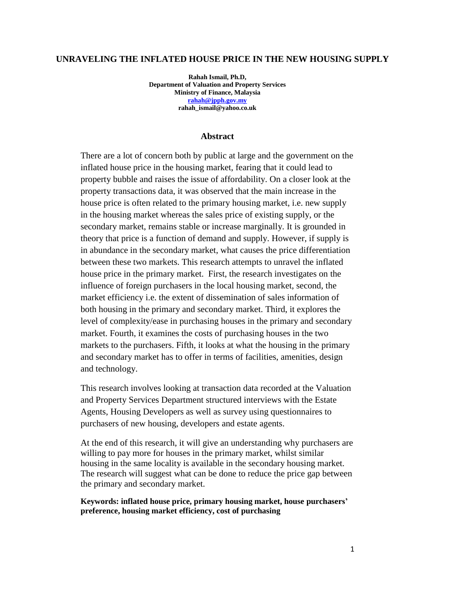### **UNRAVELING THE INFLATED HOUSE PRICE IN THE NEW HOUSING SUPPLY**

**Rahah Ismail, Ph.D, Department of Valuation and Property Services Ministry of Finance, Malaysia [rahah@jpph.gov.my](mailto:rahah@jpph.gov.my) rahah\_ismail@yahoo.co.uk**

### **Abstract**

There are a lot of concern both by public at large and the government on the inflated house price in the housing market, fearing that it could lead to property bubble and raises the issue of affordability. On a closer look at the property transactions data, it was observed that the main increase in the house price is often related to the primary housing market, i.e. new supply in the housing market whereas the sales price of existing supply, or the secondary market, remains stable or increase marginally. It is grounded in theory that price is a function of demand and supply. However, if supply is in abundance in the secondary market, what causes the price differentiation between these two markets. This research attempts to unravel the inflated house price in the primary market. First, the research investigates on the influence of foreign purchasers in the local housing market, second, the market efficiency i.e. the extent of dissemination of sales information of both housing in the primary and secondary market. Third, it explores the level of complexity/ease in purchasing houses in the primary and secondary market. Fourth, it examines the costs of purchasing houses in the two markets to the purchasers. Fifth, it looks at what the housing in the primary and secondary market has to offer in terms of facilities, amenities, design and technology.

This research involves looking at transaction data recorded at the Valuation and Property Services Department structured interviews with the Estate Agents, Housing Developers as well as survey using questionnaires to purchasers of new housing, developers and estate agents.

At the end of this research, it will give an understanding why purchasers are willing to pay more for houses in the primary market, whilst similar housing in the same locality is available in the secondary housing market. The research will suggest what can be done to reduce the price gap between the primary and secondary market.

**Keywords: inflated house price, primary housing market, house purchasers' preference, housing market efficiency, cost of purchasing**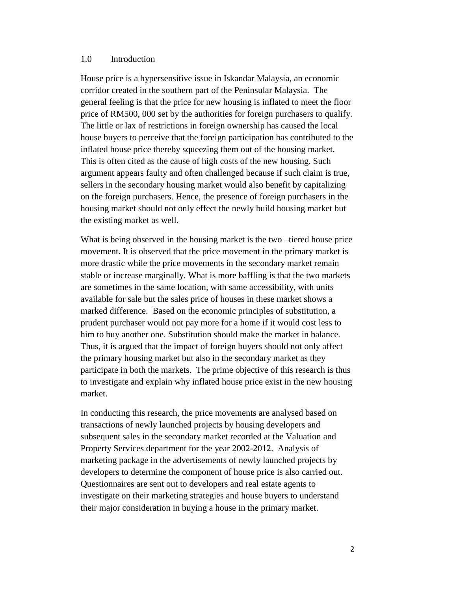### 1.0 Introduction

House price is a hypersensitive issue in Iskandar Malaysia, an economic corridor created in the southern part of the Peninsular Malaysia. The general feeling is that the price for new housing is inflated to meet the floor price of RM500, 000 set by the authorities for foreign purchasers to qualify. The little or lax of restrictions in foreign ownership has caused the local house buyers to perceive that the foreign participation has contributed to the inflated house price thereby squeezing them out of the housing market. This is often cited as the cause of high costs of the new housing. Such argument appears faulty and often challenged because if such claim is true, sellers in the secondary housing market would also benefit by capitalizing on the foreign purchasers. Hence, the presence of foreign purchasers in the housing market should not only effect the newly build housing market but the existing market as well.

What is being observed in the housing market is the two –tiered house price movement. It is observed that the price movement in the primary market is more drastic while the price movements in the secondary market remain stable or increase marginally. What is more baffling is that the two markets are sometimes in the same location, with same accessibility, with units available for sale but the sales price of houses in these market shows a marked difference. Based on the economic principles of substitution, a prudent purchaser would not pay more for a home if it would cost less to him to buy another one. Substitution should make the market in balance. Thus, it is argued that the impact of foreign buyers should not only affect the primary housing market but also in the secondary market as they participate in both the markets. The prime objective of this research is thus to investigate and explain why inflated house price exist in the new housing market.

In conducting this research, the price movements are analysed based on transactions of newly launched projects by housing developers and subsequent sales in the secondary market recorded at the Valuation and Property Services department for the year 2002-2012. Analysis of marketing package in the advertisements of newly launched projects by developers to determine the component of house price is also carried out. Questionnaires are sent out to developers and real estate agents to investigate on their marketing strategies and house buyers to understand their major consideration in buying a house in the primary market.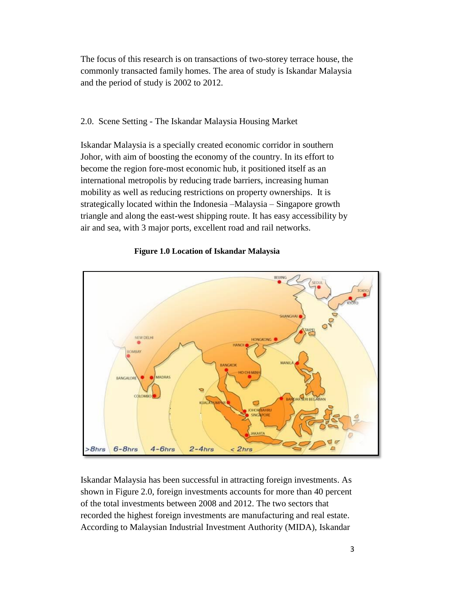The focus of this research is on transactions of two-storey terrace house, the commonly transacted family homes. The area of study is Iskandar Malaysia and the period of study is 2002 to 2012.

### 2.0. Scene Setting - The Iskandar Malaysia Housing Market

Iskandar Malaysia is a specially created economic corridor in southern Johor, with aim of boosting the economy of the country. In its effort to become the region fore-most economic hub, it positioned itself as an international metropolis by reducing trade barriers, increasing human mobility as well as reducing restrictions on property ownerships. It is strategically located within the Indonesia –Malaysia – Singapore growth triangle and along the east-west shipping route. It has easy accessibility by air and sea, with 3 major ports, excellent road and rail networks.



**Figure 1.0 Location of Iskandar Malaysia**

Iskandar Malaysia has been successful in attracting foreign investments. As shown in Figure 2.0, foreign investments accounts for more than 40 percent of the total investments between 2008 and 2012. The two sectors that recorded the highest foreign investments are manufacturing and real estate. According to Malaysian Industrial Investment Authority (MIDA), Iskandar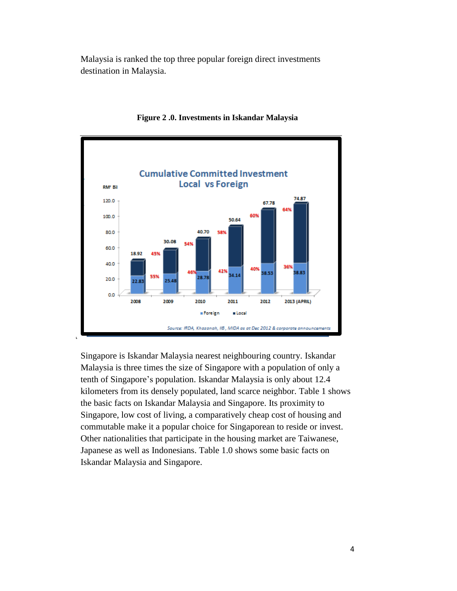Malaysia is ranked the top three popular foreign direct investments destination in Malaysia.



**Figure 2 .0. Investments in Iskandar Malaysia**

Singapore is Iskandar Malaysia nearest neighbouring country. Iskandar Malaysia is three times the size of Singapore with a population of only a tenth of Singapore's population. Iskandar Malaysia is only about 12.4 kilometers from its densely populated, land scarce neighbor. Table 1 shows the basic facts on Iskandar Malaysia and Singapore. Its proximity to Singapore, low cost of living, a comparatively cheap cost of housing and commutable make it a popular choice for Singaporean to reside or invest. Other nationalities that participate in the housing market are Taiwanese, Japanese as well as Indonesians. Table 1.0 shows some basic facts on Iskandar Malaysia and Singapore.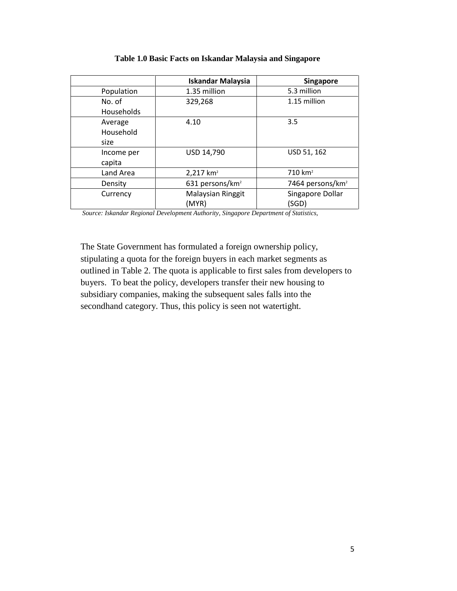|            | <b>Iskandar Malaysia</b>    | <b>Singapore</b>             |
|------------|-----------------------------|------------------------------|
| Population | 1.35 million                | 5.3 million                  |
| No. of     | 329,268                     | 1.15 million                 |
| Households |                             |                              |
| Average    | 4.10                        | 3.5                          |
| Household  |                             |                              |
| size       |                             |                              |
| Income per | USD 14,790                  | USD 51, 162                  |
| capita     |                             |                              |
| Land Area  | $2,217$ km <sup>2</sup>     | $710 \ km2$                  |
| Density    | 631 persons/km <sup>2</sup> | 7464 persons/km <sup>2</sup> |
| Currency   | Malaysian Ringgit           | Singapore Dollar             |
|            | (MYR)                       | (SGD)                        |

**Table 1.0 Basic Facts on Iskandar Malaysia and Singapore**

*Source: Iskandar Regional Development Authority, Singapore Department of Statistics,* 

The State Government has formulated a foreign ownership policy, stipulating a quota for the foreign buyers in each market segments as outlined in Table 2. The quota is applicable to first sales from developers to buyers. To beat the policy, developers transfer their new housing to subsidiary companies, making the subsequent sales falls into the secondhand category. Thus, this policy is seen not watertight.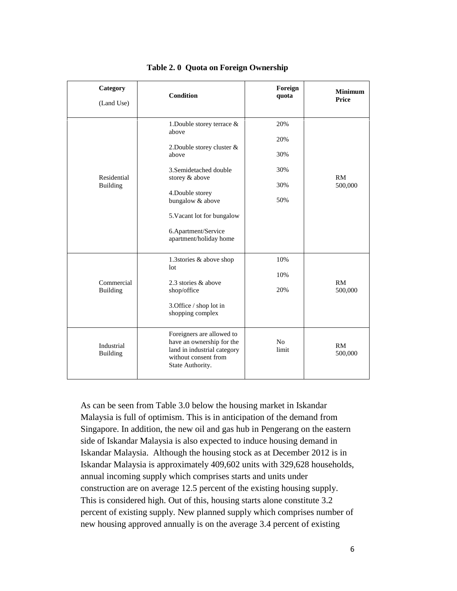| Category<br>(Land Use)        | <b>Condition</b>                                                                                                                                                                                                                                 | Foreign<br>quota                       | <b>Minimum</b><br><b>Price</b> |
|-------------------------------|--------------------------------------------------------------------------------------------------------------------------------------------------------------------------------------------------------------------------------------------------|----------------------------------------|--------------------------------|
| Residential<br>Building       | 1. Double storey terrace $\&$<br>above<br>2. Double storey cluster &<br>above<br>3. Semidetached double<br>storey & above<br>4. Double storey<br>bungalow & above<br>5. Vacant lot for bungalow<br>6.Apartment/Service<br>apartment/holiday home | 20%<br>20%<br>30%<br>30%<br>30%<br>50% | RM<br>500,000                  |
| Commercial<br><b>Building</b> | 1.3stories & above shop<br>1 <sub>ot</sub><br>2.3 stories & above<br>shop/office<br>3.Office / shop lot in<br>shopping complex                                                                                                                   | 10%<br>10%<br>20%                      | RM<br>500,000                  |
| Industrial<br><b>Building</b> | Foreigners are allowed to<br>have an ownership for the<br>land in industrial category<br>without consent from<br>State Authority.                                                                                                                | No<br>limit                            | <b>RM</b><br>500,000           |

**Table 2. 0 Quota on Foreign Ownership**

As can be seen from Table 3.0 below the housing market in Iskandar Malaysia is full of optimism. This is in anticipation of the demand from Singapore. In addition, the new oil and gas hub in Pengerang on the eastern side of Iskandar Malaysia is also expected to induce housing demand in Iskandar Malaysia. Although the housing stock as at December 2012 is in Iskandar Malaysia is approximately 409,602 units with 329,628 households, annual incoming supply which comprises starts and units under construction are on average 12.5 percent of the existing housing supply. This is considered high. Out of this, housing starts alone constitute 3.2 percent of existing supply. New planned supply which comprises number of new housing approved annually is on the average 3.4 percent of existing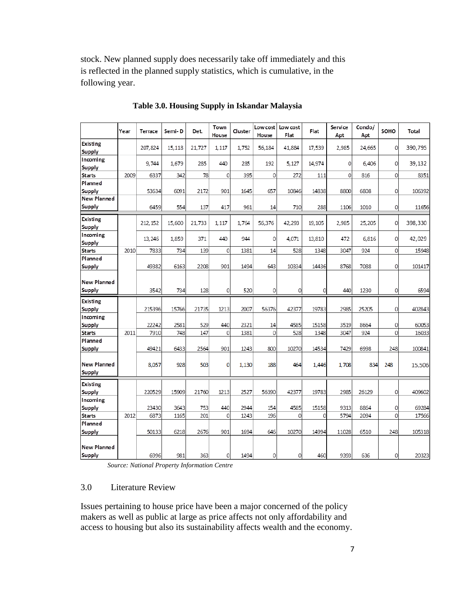stock. New planned supply does necessarily take off immediately and this is reflected in the planned supply statistics, which is cumulative, in the following year.

|                                     | Year | <b>Terrace</b> | Semi-D | Det.   | Town<br>House | Cluster | Low cost<br>House | Low cost<br>Flat | Flat   | Service<br>Apt | Condo/<br>Apt | SOHO           | Total   |
|-------------------------------------|------|----------------|--------|--------|---------------|---------|-------------------|------------------|--------|----------------|---------------|----------------|---------|
| <b>Existing</b>                     |      | 207,824        | 15,118 | 21,727 | 1,117         | 1,752   | 56,184            | 41,884           | 17,539 | 2,985          | 24,665        | 0              | 390,795 |
| Supply                              |      |                |        |        |               |         |                   |                  |        |                |               |                |         |
| Incoming                            |      | 9.744          | 1,679  | 285    | 440           | 285     | 192               | 5,127            | 14,974 | $\mathbf{0}$   | 6,406         | 0              | 39,132  |
| Supply<br><b>Starts</b>             | 2009 | 6337           | 342    | 78     | 0             | 395     | $\mathbf{0}$      | 272              | 111    | $\mathbf 0$    | 816           | 0              | 8351    |
| Planned                             |      |                |        |        |               |         |                   |                  |        |                |               |                |         |
| Supply                              |      | 53634          | 6091   | 2172   | 901           | 1645    | 657               | 10846            | 14838  | 8800           | 6808          | 0              | 106392  |
| <b>New Planned</b>                  |      |                |        |        |               |         |                   |                  |        |                |               |                |         |
| <b>Supply</b>                       |      | 6459           | 554    | 137    | 417           | 961     | 14                | 710              | 288    | 1106           | 1010          | 0              | 11656   |
|                                     |      |                |        |        |               |         |                   |                  |        |                |               |                |         |
| <b>Existing</b>                     |      | 212, 152       | 15,600 | 21,733 | 1,117         | 1,764   | 56,376            | 42,293           | 19,105 | 2,985          | 25,205        | 0              | 398,330 |
| <b>Supply</b>                       |      |                |        |        |               |         |                   |                  |        |                |               |                |         |
| Incoming                            |      | 13,246         | 1.859  | 371    | 440           | 944     | $\Omega$          | 4.071            | 13,810 | 472            | 6.816         | 0              | 42.029  |
| <b>Supply</b><br><b>Starts</b>      | 2010 | 7833           | 734    | 139    | $\mathbf 0$   | 1381    | 14                | 528              | 1348   | 3047           | 924           | 0              | 15948   |
| Planned                             |      |                |        |        |               |         |                   |                  |        |                |               |                |         |
| Supply                              |      | 49382          | 6163   | 2208   | 901           | 1494    | 643               | 10334            | 14436  | 8768           | 7088          | 0              | 101417  |
|                                     |      |                |        |        |               |         |                   |                  |        |                |               |                |         |
| <b>New Planned</b>                  |      |                |        |        |               |         |                   |                  |        |                |               |                |         |
| Supply                              |      | 3542           | 734    | 128    | 0             | 520     | 0                 | 0                | 0      | 440            | 1230          | 0              | 6594    |
| Existing                            |      |                |        |        |               |         |                   |                  |        |                |               |                |         |
| <b>Supply</b>                       |      | 215396         | 15766  | 21735  | 1213          | 2007    | 56376             | 42377            | 19783  | 2985           | 25205         | 0              | 402843  |
| Incoming                            |      |                |        |        |               |         |                   |                  |        |                |               |                |         |
| <b>Supply</b>                       |      | 22242          | 2581   | 529    | 440           | 2321    | 14                | 4585             | 15158  | 3519           | 8664          | 0              | 60053   |
| <b>Starts</b>                       | 2011 | 7910           | 748    | 147    | $\mathbf 0$   | 1381    | 0                 | 528              | 1348   | 3047           | 924           | $\overline{0}$ | 16033   |
| Planned                             |      |                |        |        |               |         |                   |                  |        |                |               |                |         |
| Supply                              |      | 49421          | 6433   | 2564   | 901           | 1243    | 800               | 10270            | 14534  | 7429           | 6998          | 248            | 100841  |
| <b>New Planned</b><br>Supply        |      | 8,057          | 928    | 503    | $\mathbf{0}$  | 1,130   | 188               | 464              | 1.446  | 1,708          | 834           | 248            | 15,506  |
| <b>Existing</b>                     |      |                |        |        |               |         |                   |                  |        |                |               |                |         |
| <b>Supply</b>                       |      | 220529         | 15909  | 21760  | 1213          | 2527    | 56390             | 42377            | 19783  | 2985           | 26129         | 0              | 409602  |
| Incoming                            |      |                |        |        |               |         |                   |                  |        |                |               |                |         |
| <b>Supply</b>                       |      | 23430          | 3643   | 753    | 440           | 2944    | 154               | 4585             | 15158  | 9313           | 8864          | 0              | 69284   |
| <b>Starts</b>                       | 2012 | 6873           | 1165   | 201    | 0             | 1243    | 196               | $\mathbf{0}$     | 0      | 5794           | 2094          | 0              | 17566   |
| Planned                             |      |                |        |        |               |         |                   |                  |        |                |               |                |         |
| <b>Supply</b>                       |      | 50133          | 6218   | 2676   | 901           | 1694    | 646               | 10270            | 14994  | 11028          | 6510          | 248            | 105318  |
| <b>New Planned</b><br><b>Supply</b> |      | 6996           | 981    | 363    | 0             | 1494    | 0                 | $\mathbf{0}$     | 460    | 9393           | 636           | 0              | 20323   |

**Table 3.0. Housing Supply in Iskandar Malaysia**

*Source: National Property Information Centre*

# 3.0 Literature Review

Issues pertaining to house price have been a major concerned of the policy makers as well as public at large as price affects not only affordability and access to housing but also its sustainability affects wealth and the economy.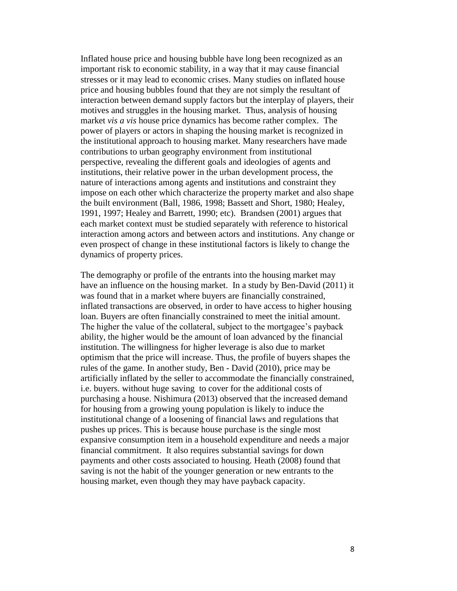Inflated house price and housing bubble have long been recognized as an important risk to economic stability, in a way that it may cause financial stresses or it may lead to economic crises. Many studies on inflated house price and housing bubbles found that they are not simply the resultant of interaction between demand supply factors but the interplay of players, their motives and struggles in the housing market. Thus, analysis of housing market *vis a vis* house price dynamics has become rather complex. The power of players or actors in shaping the housing market is recognized in the institutional approach to housing market. Many researchers have made contributions to urban geography environment from institutional perspective, revealing the different goals and ideologies of agents and institutions, their relative power in the urban development process, the nature of interactions among agents and institutions and constraint they impose on each other which characterize the property market and also shape the built environment (Ball, 1986, 1998; Bassett and Short, 1980; Healey, 1991, 1997; Healey and Barrett, 1990; etc). Brandsen (2001) argues that each market context must be studied separately with reference to historical interaction among actors and between actors and institutions. Any change or even prospect of change in these institutional factors is likely to change the dynamics of property prices.

The demography or profile of the entrants into the housing market may have an influence on the housing market. In a study by Ben-David (2011) it was found that in a market where buyers are financially constrained, inflated transactions are observed, in order to have access to higher housing loan. Buyers are often financially constrained to meet the initial amount. The higher the value of the collateral, subject to the mortgagee's payback ability, the higher would be the amount of loan advanced by the financial institution. The willingness for higher leverage is also due to market optimism that the price will increase. Thus, the profile of buyers shapes the rules of the game. In another study, Ben - David (2010), price may be artificially inflated by the seller to accommodate the financially constrained, i.e. buyers. without huge saving to cover for the additional costs of purchasing a house. Nishimura (2013) observed that the increased demand for housing from a growing young population is likely to induce the institutional change of a loosening of financial laws and regulations that pushes up prices. This is because house purchase is the single most expansive consumption item in a household expenditure and needs a major financial commitment. It also requires substantial savings for down payments and other costs associated to housing. Heath (2008) found that saving is not the habit of the younger generation or new entrants to the housing market, even though they may have payback capacity.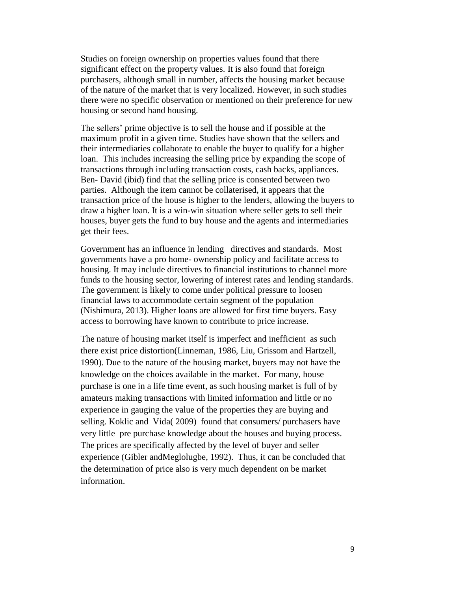Studies on foreign ownership on properties values found that there significant effect on the property values. It is also found that foreign purchasers, although small in number, affects the housing market because of the nature of the market that is very localized. However, in such studies there were no specific observation or mentioned on their preference for new housing or second hand housing.

The sellers' prime objective is to sell the house and if possible at the maximum profit in a given time. Studies have shown that the sellers and their intermediaries collaborate to enable the buyer to qualify for a higher loan. This includes increasing the selling price by expanding the scope of transactions through including transaction costs, cash backs, appliances. Ben- David (ibid) find that the selling price is consented between two parties. Although the item cannot be collaterised, it appears that the transaction price of the house is higher to the lenders, allowing the buyers to draw a higher loan. It is a win-win situation where seller gets to sell their houses, buyer gets the fund to buy house and the agents and intermediaries get their fees.

Government has an influence in lending directives and standards. Most governments have a pro home- ownership policy and facilitate access to housing. It may include directives to financial institutions to channel more funds to the housing sector, lowering of interest rates and lending standards. The government is likely to come under political pressure to loosen financial laws to accommodate certain segment of the population (Nishimura, 2013). Higher loans are allowed for first time buyers. Easy access to borrowing have known to contribute to price increase.

The nature of housing market itself is imperfect and inefficient as such there exist price distortion(Linneman, 1986, Liu, Grissom and Hartzell, 1990). Due to the nature of the housing market, buyers may not have the knowledge on the choices available in the market. For many, house purchase is one in a life time event, as such housing market is full of by amateurs making transactions with limited information and little or no experience in gauging the value of the properties they are buying and selling. Koklic and Vida( 2009) found that consumers/ purchasers have very little pre purchase knowledge about the houses and buying process. The prices are specifically affected by the level of buyer and seller experience (Gibler andMeglolugbe, 1992). Thus, it can be concluded that the determination of price also is very much dependent on be market information.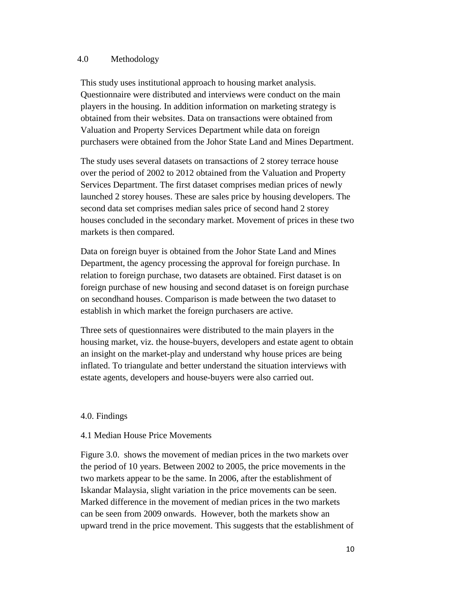### 4.0 Methodology

This study uses institutional approach to housing market analysis. Questionnaire were distributed and interviews were conduct on the main players in the housing. In addition information on marketing strategy is obtained from their websites. Data on transactions were obtained from Valuation and Property Services Department while data on foreign purchasers were obtained from the Johor State Land and Mines Department.

The study uses several datasets on transactions of 2 storey terrace house over the period of 2002 to 2012 obtained from the Valuation and Property Services Department. The first dataset comprises median prices of newly launched 2 storey houses. These are sales price by housing developers. The second data set comprises median sales price of second hand 2 storey houses concluded in the secondary market. Movement of prices in these two markets is then compared.

Data on foreign buyer is obtained from the Johor State Land and Mines Department, the agency processing the approval for foreign purchase. In relation to foreign purchase, two datasets are obtained. First dataset is on foreign purchase of new housing and second dataset is on foreign purchase on secondhand houses. Comparison is made between the two dataset to establish in which market the foreign purchasers are active.

Three sets of questionnaires were distributed to the main players in the housing market, viz. the house-buyers, developers and estate agent to obtain an insight on the market-play and understand why house prices are being inflated. To triangulate and better understand the situation interviews with estate agents, developers and house-buyers were also carried out.

### 4.0. Findings

### 4.1 Median House Price Movements

Figure 3.0. shows the movement of median prices in the two markets over the period of 10 years. Between 2002 to 2005, the price movements in the two markets appear to be the same. In 2006, after the establishment of Iskandar Malaysia, slight variation in the price movements can be seen. Marked difference in the movement of median prices in the two markets can be seen from 2009 onwards. However, both the markets show an upward trend in the price movement. This suggests that the establishment of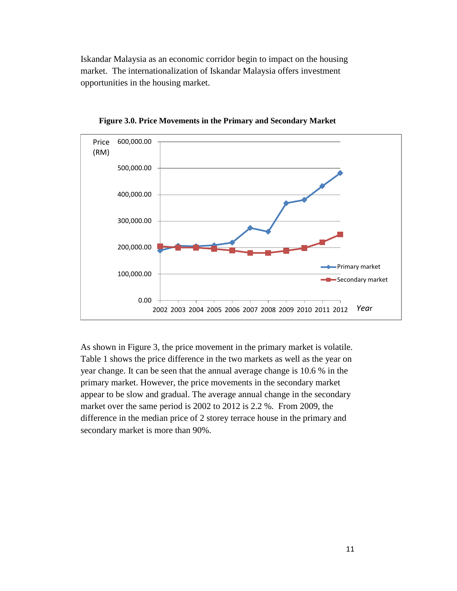Iskandar Malaysia as an economic corridor begin to impact on the housing market. The internationalization of Iskandar Malaysia offers investment opportunities in the housing market.



**Figure 3.0. Price Movements in the Primary and Secondary Market**

As shown in Figure 3, the price movement in the primary market is volatile. Table 1 shows the price difference in the two markets as well as the year on year change. It can be seen that the annual average change is 10.6 % in the primary market. However, the price movements in the secondary market appear to be slow and gradual. The average annual change in the secondary market over the same period is 2002 to 2012 is 2.2 %. From 2009, the difference in the median price of 2 storey terrace house in the primary and secondary market is more than 90%.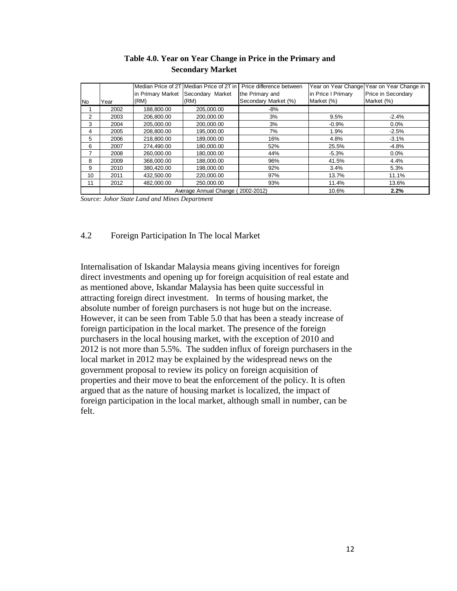|           |      |                                                    | Median Price of 2T Median Price of 2T in I | Price difference between |                    | Year on Year Change Year on Year Change in |  |  |  |
|-----------|------|----------------------------------------------------|--------------------------------------------|--------------------------|--------------------|--------------------------------------------|--|--|--|
|           |      |                                                    | in Primary Market Secondary Market         | the Primary and          | in Price I Primary | Price in Secondary                         |  |  |  |
| <b>No</b> | Year | (RM)                                               | (RM)                                       | Secondary Market (%)     | Market (%)         | Market (%)                                 |  |  |  |
|           | 2002 | 188.800.00                                         | 205.000.00                                 | -8%                      |                    |                                            |  |  |  |
| 2         | 2003 | 206.800.00                                         | 200,000.00                                 | 3%                       | 9.5%               | $-2.4%$                                    |  |  |  |
| 3         | 2004 | 205.000.00                                         | 200.000.00                                 | 3%                       | $-0.9%$            | $0.0\%$                                    |  |  |  |
| 4         | 2005 | 208.800.00                                         | 195.000.00                                 | 7%                       | 1.9%               | $-2.5%$                                    |  |  |  |
| 5         | 2006 | 218.800.00                                         | 189.000.00                                 | 16%                      | 4.8%               | $-3.1%$                                    |  |  |  |
| 6         | 2007 | 274,490.00                                         | 180,000.00                                 | 52%                      | 25.5%              | $-4.8%$                                    |  |  |  |
|           | 2008 | 260.000.00                                         | 180.000.00                                 | 44%                      | $-5.3%$            | 0.0%                                       |  |  |  |
| 8         | 2009 | 368.000.00                                         | 188.000.00                                 | 96%                      | 41.5%              | 4.4%                                       |  |  |  |
| 9         | 2010 | 380.420.00                                         | 198.000.00                                 | 92%                      | 3.4%               | 5.3%                                       |  |  |  |
| 10        | 2011 | 432.500.00                                         | 220.000.00                                 | 97%                      | 13.7%              | 11.1%                                      |  |  |  |
| 11        | 2012 | 482,000.00                                         | 250,000.00                                 | 93%                      | 11.4%              | 13.6%                                      |  |  |  |
|           |      | Average Annual Change (2002-2012)<br>2.2%<br>10.6% |                                            |                          |                    |                                            |  |  |  |

# **Table 4.0. Year on Year Change in Price in the Primary and Secondary Market**

*Source: Johor State Land and Mines Department*

# 4.2 Foreign Participation In The local Market

Internalisation of Iskandar Malaysia means giving incentives for foreign direct investments and opening up for foreign acquisition of real estate and as mentioned above, Iskandar Malaysia has been quite successful in attracting foreign direct investment. In terms of housing market, the absolute number of foreign purchasers is not huge but on the increase. However, it can be seen from Table 5.0 that has been a steady increase of foreign participation in the local market. The presence of the foreign purchasers in the local housing market, with the exception of 2010 and 2012 is not more than 5.5%. The sudden influx of foreign purchasers in the local market in 2012 may be explained by the widespread news on the government proposal to review its policy on foreign acquisition of properties and their move to beat the enforcement of the policy. It is often argued that as the nature of housing market is localized, the impact of foreign participation in the local market, although small in number, can be felt.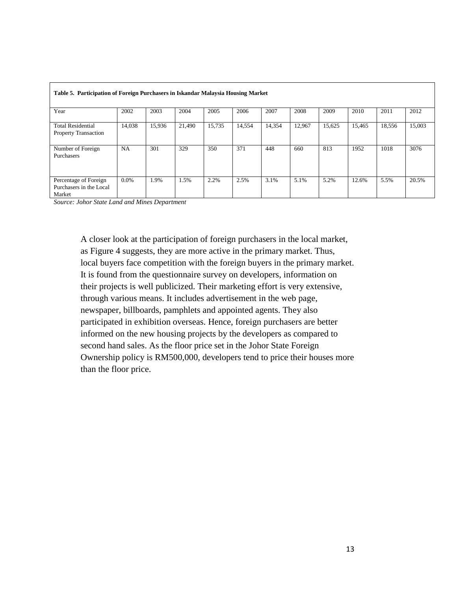| Table 5. Participation of Foreign Purchasers in Iskandar Malaysia Housing Market |           |        |        |        |        |        |        |        |        |        |        |
|----------------------------------------------------------------------------------|-----------|--------|--------|--------|--------|--------|--------|--------|--------|--------|--------|
| Year                                                                             | 2002      | 2003   | 2004   | 2005   | 2006   | 2007   | 2008   | 2009   | 2010   | 2011   | 2012   |
| <b>Total Residential</b><br><b>Property Transaction</b>                          | 14,038    | 15,936 | 21,490 | 15,735 | 14,554 | 14,354 | 12,967 | 15,625 | 15,465 | 18,556 | 15,003 |
| Number of Foreign<br>Purchasers                                                  | <b>NA</b> | 301    | 329    | 350    | 371    | 448    | 660    | 813    | 1952   | 1018   | 3076   |
| Percentage of Foreign<br>Purchasers in the Local<br>Market                       | $0.0\%$   | 1.9%   | 1.5%   | 2.2%   | 2.5%   | 3.1%   | 5.1%   | 5.2%   | 12.6%  | 5.5%   | 20.5%  |

*Source: Johor State Land and Mines Department*

A closer look at the participation of foreign purchasers in the local market, as Figure 4 suggests, they are more active in the primary market. Thus, local buyers face competition with the foreign buyers in the primary market. It is found from the questionnaire survey on developers, information on their projects is well publicized. Their marketing effort is very extensive, through various means. It includes advertisement in the web page, newspaper, billboards, pamphlets and appointed agents. They also participated in exhibition overseas. Hence, foreign purchasers are better informed on the new housing projects by the developers as compared to second hand sales. As the floor price set in the Johor State Foreign Ownership policy is RM500,000, developers tend to price their houses more than the floor price.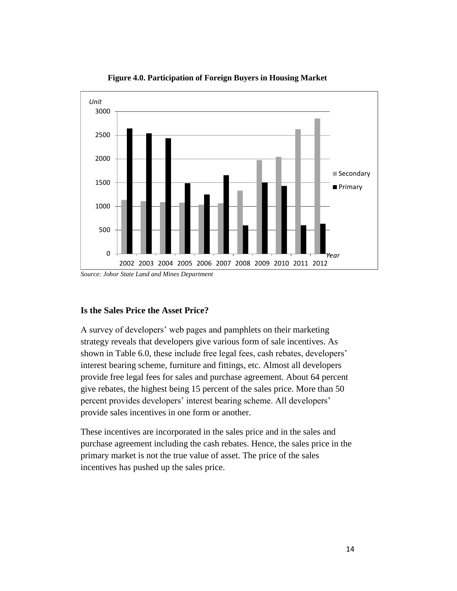

**Figure 4.0. Participation of Foreign Buyers in Housing Market**

# **Is the Sales Price the Asset Price?**

A survey of developers' web pages and pamphlets on their marketing strategy reveals that developers give various form of sale incentives. As shown in Table 6.0, these include free legal fees, cash rebates, developers' interest bearing scheme, furniture and fittings, etc. Almost all developers provide free legal fees for sales and purchase agreement. About 64 percent give rebates, the highest being 15 percent of the sales price. More than 50 percent provides developers' interest bearing scheme. All developers' provide sales incentives in one form or another.

These incentives are incorporated in the sales price and in the sales and purchase agreement including the cash rebates. Hence, the sales price in the primary market is not the true value of asset. The price of the sales incentives has pushed up the sales price.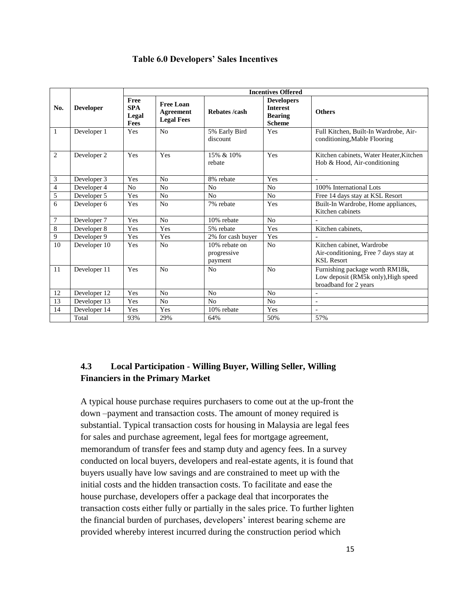## **Table 6.0 Developers' Sales Incentives**

|                |                  | <b>Incentives Offered</b>                                                                        |                |                                         |                                                                         |                                                                                                 |  |  |  |  |  |
|----------------|------------------|--------------------------------------------------------------------------------------------------|----------------|-----------------------------------------|-------------------------------------------------------------------------|-------------------------------------------------------------------------------------------------|--|--|--|--|--|
| No.            | <b>Developer</b> | Free<br><b>Free Loan</b><br><b>SPA</b><br><b>Agreement</b><br>Legal<br><b>Legal Fees</b><br>Fees |                | Rebates /cash                           | <b>Developers</b><br><b>Interest</b><br><b>Bearing</b><br><b>Scheme</b> | <b>Others</b>                                                                                   |  |  |  |  |  |
| 1              | Developer 1      | Yes                                                                                              | N <sub>o</sub> | 5% Early Bird<br>discount               | Yes                                                                     | Full Kitchen, Built-In Wardrobe, Air-<br>conditioning, Mable Flooring                           |  |  |  |  |  |
| 2              | Developer 2      | Yes                                                                                              | Yes            | 15% & 10%<br>rebate                     | Yes                                                                     | Kitchen cabinets, Water Heater, Kitchen<br>Hob & Hood, Air-conditioning                         |  |  |  |  |  |
| 3              | Developer 3      | Yes                                                                                              | No             | 8% rebate                               | Yes                                                                     |                                                                                                 |  |  |  |  |  |
| $\overline{4}$ | Developer 4      | N <sub>0</sub>                                                                                   | N <sub>0</sub> | N <sub>0</sub>                          | N <sub>o</sub>                                                          | 100% International Lots                                                                         |  |  |  |  |  |
| 5              | Developer 5      | Yes                                                                                              | N <sub>0</sub> | N <sub>0</sub>                          | N <sub>0</sub>                                                          | Free 14 days stay at KSL Resort                                                                 |  |  |  |  |  |
| 6              | Developer 6      | Yes                                                                                              | N <sub>0</sub> | 7% rebate                               | Yes                                                                     | Built-In Wardrobe, Home appliances,<br>Kitchen cabinets                                         |  |  |  |  |  |
| 7              | Developer 7      | Yes                                                                                              | No             | 10% rebate                              | No                                                                      |                                                                                                 |  |  |  |  |  |
| 8              | Developer 8      | Yes                                                                                              | Yes            | 5% rebate                               | Yes                                                                     | Kitchen cabinets.                                                                               |  |  |  |  |  |
| 9              | Developer 9      | Yes                                                                                              | Yes            | 2% for cash buyer                       | Yes                                                                     |                                                                                                 |  |  |  |  |  |
| 10             | Developer 10     | Yes                                                                                              | N <sub>o</sub> | 10% rebate on<br>progressive<br>payment | No                                                                      | Kitchen cabinet, Wardrobe<br>Air-conditioning, Free 7 days stay at<br><b>KSL Resort</b>         |  |  |  |  |  |
| 11             | Developer 11     | Yes                                                                                              | N <sub>0</sub> | No                                      | No                                                                      | Furnishing package worth RM18k,<br>Low deposit (RM5k only), High speed<br>broadband for 2 years |  |  |  |  |  |
| 12             | Developer 12     | Yes                                                                                              | N <sub>0</sub> | N <sub>0</sub>                          | No                                                                      |                                                                                                 |  |  |  |  |  |
| 13             | Developer 13     | Yes                                                                                              | N <sub>o</sub> | N <sub>o</sub>                          | N <sub>o</sub>                                                          | $\blacksquare$                                                                                  |  |  |  |  |  |
| 14             | Developer 14     | Yes                                                                                              | Yes            | 10% rebate                              | Yes                                                                     | $\overline{a}$                                                                                  |  |  |  |  |  |
|                | Total            | 93%                                                                                              | 29%            | 64%                                     | 50%                                                                     | 57%                                                                                             |  |  |  |  |  |

# **4.3 Local Participation - Willing Buyer, Willing Seller, Willing Financiers in the Primary Market**

A typical house purchase requires purchasers to come out at the up-front the down –payment and transaction costs. The amount of money required is substantial. Typical transaction costs for housing in Malaysia are legal fees for sales and purchase agreement, legal fees for mortgage agreement, memorandum of transfer fees and stamp duty and agency fees. In a survey conducted on local buyers, developers and real-estate agents, it is found that buyers usually have low savings and are constrained to meet up with the initial costs and the hidden transaction costs. To facilitate and ease the house purchase, developers offer a package deal that incorporates the transaction costs either fully or partially in the sales price. To further lighten the financial burden of purchases, developers' interest bearing scheme are provided whereby interest incurred during the construction period which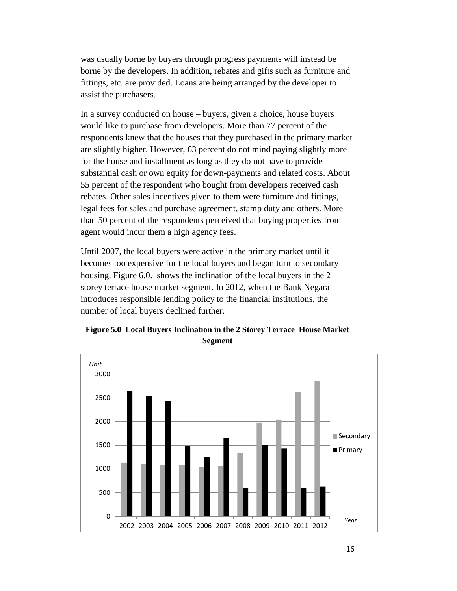was usually borne by buyers through progress payments will instead be borne by the developers. In addition, rebates and gifts such as furniture and fittings, etc. are provided. Loans are being arranged by the developer to assist the purchasers.

In a survey conducted on house – buyers, given a choice, house buyers would like to purchase from developers. More than 77 percent of the respondents knew that the houses that they purchased in the primary market are slightly higher. However, 63 percent do not mind paying slightly more for the house and installment as long as they do not have to provide substantial cash or own equity for down-payments and related costs. About 55 percent of the respondent who bought from developers received cash rebates. Other sales incentives given to them were furniture and fittings, legal fees for sales and purchase agreement, stamp duty and others. More than 50 percent of the respondents perceived that buying properties from agent would incur them a high agency fees.

Until 2007, the local buyers were active in the primary market until it becomes too expensive for the local buyers and began turn to secondary housing. Figure 6.0. shows the inclination of the local buyers in the 2 storey terrace house market segment. In 2012, when the Bank Negara introduces responsible lending policy to the financial institutions, the number of local buyers declined further.



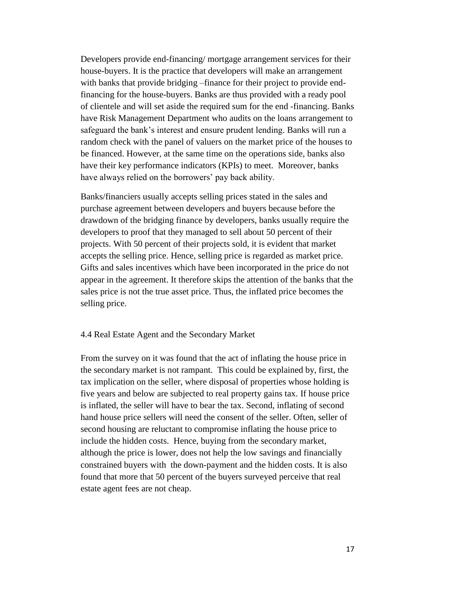Developers provide end-financing/ mortgage arrangement services for their house-buyers. It is the practice that developers will make an arrangement with banks that provide bridging –finance for their project to provide endfinancing for the house-buyers. Banks are thus provided with a ready pool of clientele and will set aside the required sum for the end -financing. Banks have Risk Management Department who audits on the loans arrangement to safeguard the bank's interest and ensure prudent lending. Banks will run a random check with the panel of valuers on the market price of the houses to be financed. However, at the same time on the operations side, banks also have their key performance indicators (KPIs) to meet. Moreover, banks have always relied on the borrowers' pay back ability.

Banks/financiers usually accepts selling prices stated in the sales and purchase agreement between developers and buyers because before the drawdown of the bridging finance by developers, banks usually require the developers to proof that they managed to sell about 50 percent of their projects. With 50 percent of their projects sold, it is evident that market accepts the selling price. Hence, selling price is regarded as market price. Gifts and sales incentives which have been incorporated in the price do not appear in the agreement. It therefore skips the attention of the banks that the sales price is not the true asset price. Thus, the inflated price becomes the selling price.

### 4.4 Real Estate Agent and the Secondary Market

From the survey on it was found that the act of inflating the house price in the secondary market is not rampant. This could be explained by, first, the tax implication on the seller, where disposal of properties whose holding is five years and below are subjected to real property gains tax. If house price is inflated, the seller will have to bear the tax. Second, inflating of second hand house price sellers will need the consent of the seller. Often, seller of second housing are reluctant to compromise inflating the house price to include the hidden costs. Hence, buying from the secondary market, although the price is lower, does not help the low savings and financially constrained buyers with the down-payment and the hidden costs. It is also found that more that 50 percent of the buyers surveyed perceive that real estate agent fees are not cheap.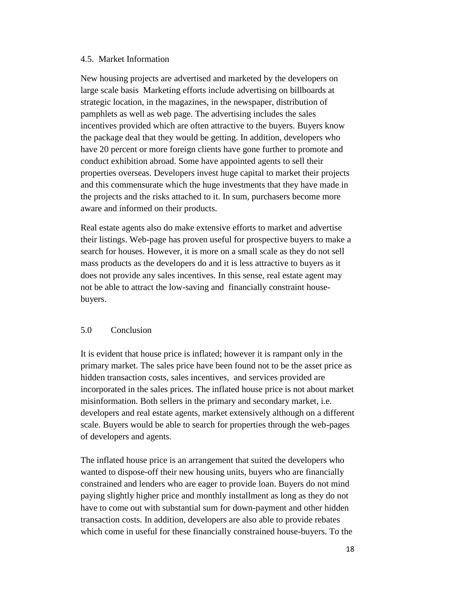## 4.5. Market Information

New housing projects are advertised and marketed by the developers on large scale basis Marketing efforts include advertising on billboards at strategic location, in the magazines, in the newspaper, distribution of pamphlets as well as web page. The advertising includes the sales incentives provided which are often attractive to the buyers. Buyers know the package deal that they would be getting. In addition, developers who have 20 percent or more foreign clients have gone further to promote and conduct exhibition abroad. Some have appointed agents to sell their properties overseas. Developers invest huge capital to market their projects and this commensurate which the huge investments that they have made in the projects and the risks attached to it. In sum, purchasers become more aware and informed on their products.

Real estate agents also do make extensive efforts to market and advertise their listings. Web-page has proven useful for prospective buyers to make a search for houses. However, it is more on a small scale as they do not sell mass products as the developers do and it is less attractive to buyers as it does not provide any sales incentives. In this sense, real estate agent may not be able to attract the low-saving and financially constraint housebuyers.

# 5.0 Conclusion

It is evident that house price is inflated; however it is rampant only in the primary market. The sales price have been found not to be the asset price as hidden transaction costs, sales incentives, and services provided are incorporated in the sales prices. The inflated house price is not about market misinformation. Both sellers in the primary and secondary market, i.e. developers and real estate agents, market extensively although on a different scale. Buyers would be able to search for properties through the web-pages of developers and agents.

The inflated house price is an arrangement that suited the developers who wanted to dispose-off their new housing units, buyers who are financially constrained and lenders who are eager to provide loan. Buyers do not mind paying slightly higher price and monthly installment as long as they do not have to come out with substantial sum for down-payment and other hidden transaction costs. In addition, developers are also able to provide rebates which come in useful for these financially constrained house-buyers. To the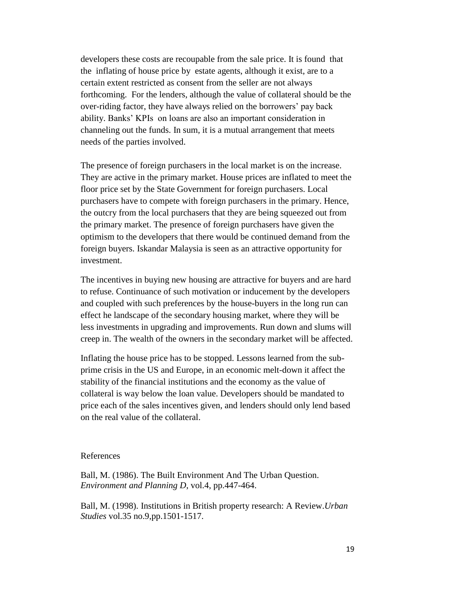developers these costs are recoupable from the sale price. It is found that the inflating of house price by estate agents, although it exist, are to a certain extent restricted as consent from the seller are not always forthcoming. For the lenders, although the value of collateral should be the over-riding factor, they have always relied on the borrowers' pay back ability. Banks' KPIs on loans are also an important consideration in channeling out the funds. In sum, it is a mutual arrangement that meets needs of the parties involved.

The presence of foreign purchasers in the local market is on the increase. They are active in the primary market. House prices are inflated to meet the floor price set by the State Government for foreign purchasers. Local purchasers have to compete with foreign purchasers in the primary. Hence, the outcry from the local purchasers that they are being squeezed out from the primary market. The presence of foreign purchasers have given the optimism to the developers that there would be continued demand from the foreign buyers. Iskandar Malaysia is seen as an attractive opportunity for investment.

The incentives in buying new housing are attractive for buyers and are hard to refuse. Continuance of such motivation or inducement by the developers and coupled with such preferences by the house-buyers in the long run can effect he landscape of the secondary housing market, where they will be less investments in upgrading and improvements. Run down and slums will creep in. The wealth of the owners in the secondary market will be affected.

Inflating the house price has to be stopped. Lessons learned from the subprime crisis in the US and Europe, in an economic melt-down it affect the stability of the financial institutions and the economy as the value of collateral is way below the loan value. Developers should be mandated to price each of the sales incentives given, and lenders should only lend based on the real value of the collateral.

#### References

Ball, M. (1986). The Built Environment And The Urban Question. *Environment and Planning D*, vol.4, pp.447-464.

Ball, M. (1998). Institutions in British property research: A Review.*Urban Studies* vol.35 no.9,pp.1501-1517.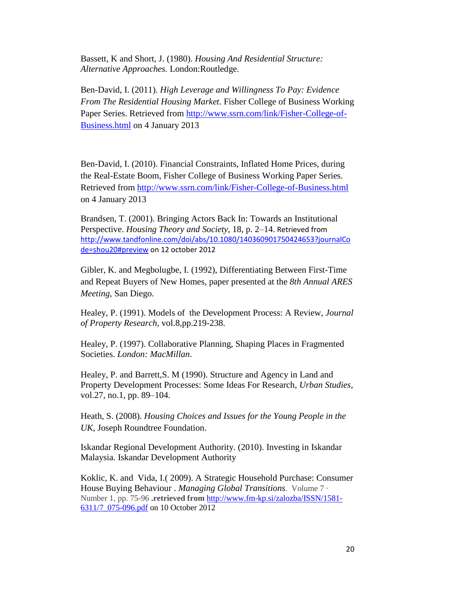Bassett, K and Short, J. (1980). *Housing And Residential Structure: Alternative Approaches.* London:Routledge.

Ben-David, I. (2011). *High Leverage and Willingness To Pay: Evidence From The Residential Housing Market*. Fisher College of Business Working Paper Series. Retrieved from [http://www.ssrn.com/link/Fisher-College-of-](http://www.ssrn.com/link/Fisher-College-of-Business.html)[Business.html](http://www.ssrn.com/link/Fisher-College-of-Business.html) on 4 January 2013

Ben-David, I. (2010). Financial Constraints, Inflated Home Prices, during the Real-Estate Boom, Fisher College of Business Working Paper Series. Retrieved from<http://www.ssrn.com/link/Fisher-College-of-Business.html> on 4 January 2013

Brandsen, T. (2001). Bringing Actors Back In: Towards an Institutional Perspective. *Housing Theory and Society,* 18, p. 2–14. Retrieved from [http://www.tandfonline.com/doi/abs/10.1080/140360901750424653?journalCo](http://www.tandfonline.com/doi/abs/10.1080/140360901750424653?journalCode=shou20#preview) [de=shou20#preview](http://www.tandfonline.com/doi/abs/10.1080/140360901750424653?journalCode=shou20#preview) on 12 october 2012

Gibler, K. and Megbolugbe, I. (1992), Differentiating Between First-Time and Repeat Buyers of New Homes, paper presented at the *8th Annual ARES Meeting*, San Diego.

Healey, P. (1991). Models of the Development Process: A Review, *Journal of Property Research*, vol.8,pp.219-238.

Healey, P. (1997). Collaborative Planning, Shaping Places in Fragmented Societies. *London: MacMillan*.

Healey, P. and Barrett,S. M (1990). Structure and Agency in Land and Property Development Processes: Some Ideas For Research, *Urban Studies*, vol.27, no.1, pp. 89–104.

Heath, S. (2008). *Housing Choices and Issues for the Young People in the UK*, Joseph Roundtree Foundation.

Iskandar Regional Development Authority. (2010). Investing in Iskandar Malaysia. Iskandar Development Authority

Koklic, K. and Vida, I.( 2009). A Strategic Household Purchase: Consumer House Buying Behaviour . *Managing Global Transitions*. Volume 7 · Number 1, pp. 75-96 **.retrieved from** [http://www.fm-kp.si/zalozba/ISSN/1581-](http://www.fm-kp.si/zalozba/ISSN/1581-6311/7_075-096.pdf) [6311/7\\_075-096.pdf](http://www.fm-kp.si/zalozba/ISSN/1581-6311/7_075-096.pdf) on 10 October 2012